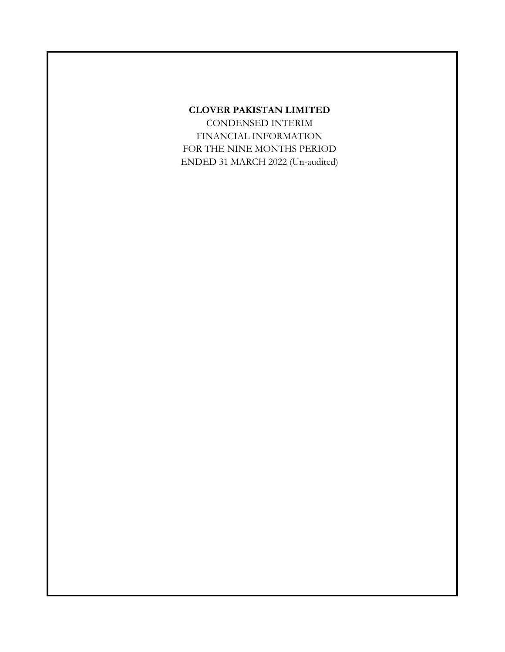# **CLOVER PAKISTAN LIMITED**

CONDENSED INTERIM FINANCIAL INFORMATION FOR THE NINE MONTHS PERIOD ENDED 31 MARCH 2022 (Un-audited)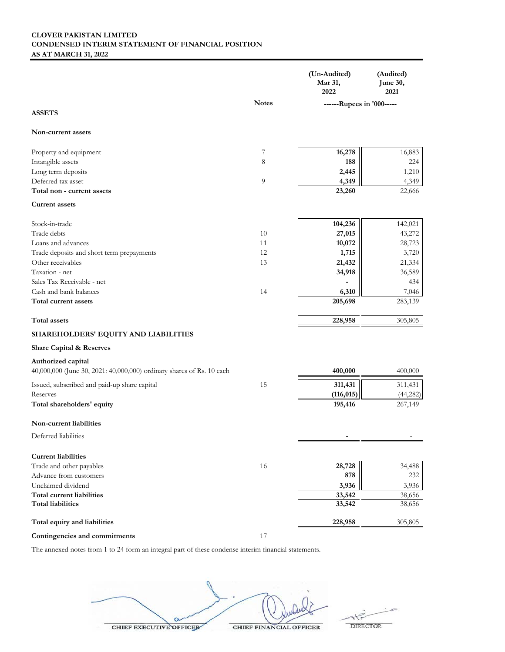# **CLOVER PAKISTAN LIMITED CONDENSED INTERIM STATEMENT OF FINANCIAL POSITION AS AT MARCH 31, 2022**

|                                                                                             |              | (Un-Audited)<br>Mar 31,<br>2022 | (Audited)<br>June 30,<br>2021 |
|---------------------------------------------------------------------------------------------|--------------|---------------------------------|-------------------------------|
|                                                                                             | <b>Notes</b> | ------Rupees in '000-----       |                               |
| <b>ASSETS</b>                                                                               |              |                                 |                               |
| <b>Non-current assets</b>                                                                   |              |                                 |                               |
| Property and equipment                                                                      | 7            | 16,278                          | 16,883                        |
| Intangible assets                                                                           | 8            | 188                             | 224                           |
| Long term deposits                                                                          |              | 2,445                           | 1,210                         |
| Deferred tax asset                                                                          | 9            | 4,349                           | 4,349                         |
| Total non - current assets                                                                  |              | 23,260                          | 22,666                        |
| <b>Current assets</b>                                                                       |              |                                 |                               |
| Stock-in-trade                                                                              |              | 104,236                         | 142,021                       |
| Trade debts                                                                                 | 10           | 27,015                          | 43,272                        |
| Loans and advances                                                                          | 11           | 10,072                          | 28,723                        |
| Trade deposits and short term prepayments                                                   | 12           | 1,715                           | 3,720                         |
| Other receivables                                                                           | 13           | 21,432                          | 21,334                        |
| Taxation - net                                                                              |              | 34,918                          | 36,589                        |
| Sales Tax Receivable - net                                                                  |              |                                 | 434                           |
| Cash and bank balances                                                                      | 14           | 6,310                           | 7,046                         |
| Total current assets                                                                        |              | 205,698                         | 283,139                       |
| <b>Total</b> assets                                                                         |              | 228,958                         | 305,805                       |
| SHAREHOLDERS' EQUITY AND LIABILITIES                                                        |              |                                 |                               |
| Share Capital & Reserves                                                                    |              |                                 |                               |
| Authorized capital<br>40,000,000 (June 30, 2021: 40,000,000) ordinary shares of Rs. 10 each |              | 400,000                         | 400,000                       |
| Issued, subscribed and paid-up share capital                                                | 15           | 311,431                         | 311,431                       |
| Reserves                                                                                    |              | (116, 015)                      | (44, 282)                     |
| Total shareholders' equity                                                                  |              | 195,416                         | 267,149                       |
| Non-current liabilities                                                                     |              |                                 |                               |
| Deferred liabilities                                                                        |              |                                 |                               |
| <b>Current liabilities</b>                                                                  |              |                                 |                               |
| Trade and other payables                                                                    | 16           | 28,728                          | 34,488                        |
| Advance from customers                                                                      |              | 878                             | 232                           |
| Unclaimed dividend                                                                          |              | 3,936                           | 3,936                         |
| Total current liabilities                                                                   |              | 33,542                          | 38,656                        |
| <b>Total liabilities</b>                                                                    |              | 33,542                          | 38,656                        |
| Total equity and liabilities                                                                |              | 228,958                         | 305,805                       |
| Contingencies and commitments                                                               | 17           |                                 |                               |

The annexed notes from 1 to 24 form an integral part of these condense interim financial statements.

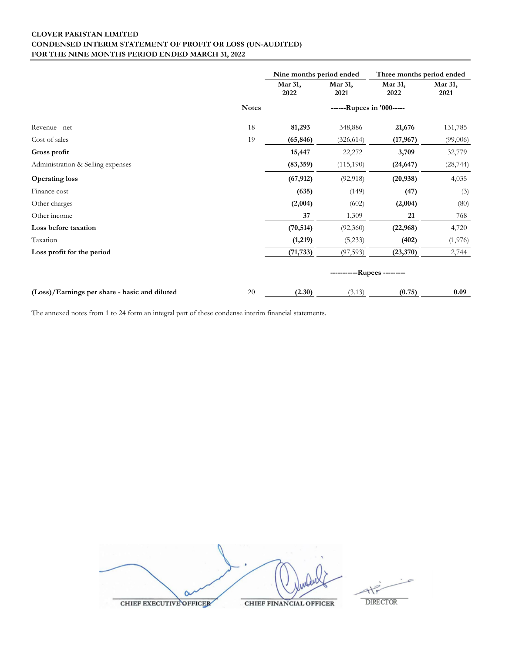# **CLOVER PAKISTAN LIMITED CONDENSED INTERIM STATEMENT OF PROFIT OR LOSS (UN-AUDITED) FOR THE NINE MONTHS PERIOD ENDED MARCH 31, 2022**

|                                               |              | Nine months period ended |                             | Three months period ended |                 |
|-----------------------------------------------|--------------|--------------------------|-----------------------------|---------------------------|-----------------|
|                                               |              | Mar 31,<br>2022          | Mar 31,<br>2021             | Mar 31,<br>2022           | Mar 31,<br>2021 |
|                                               | <b>Notes</b> |                          | ------Rupees in '000-----   |                           |                 |
| Revenue - net                                 | 18           | 81,293                   | 348,886                     | 21,676                    | 131,785         |
| Cost of sales                                 | 19           | (65, 846)                | (326, 614)                  | (17, 967)                 | (99,006)        |
| Gross profit                                  |              | 15,447                   | 22,272                      | 3,709                     | 32,779          |
| Administration & Selling expenses             |              | (83, 359)                | (115, 190)                  | (24, 647)                 | (28, 744)       |
| <b>Operating loss</b>                         |              | (67, 912)                | (92, 918)                   | (20, 938)                 | 4,035           |
| Finance cost                                  |              | (635)                    | (149)                       | (47)                      | (3)             |
| Other charges                                 |              | (2,004)                  | (602)                       | (2,004)                   | (80)            |
| Other income                                  |              | 37                       | 1,309                       | 21                        | 768             |
| Loss before taxation                          |              | (70, 514)                | (92, 360)                   | (22, 968)                 | 4,720           |
| Taxation                                      |              | (1,219)                  | (5,233)                     | (402)                     | (1, 976)        |
| Loss profit for the period                    |              | (71, 733)                | (97, 593)                   | (23, 370)                 | 2,744           |
|                                               |              |                          | -----------Rupees --------- |                           |                 |
| (Loss)/Earnings per share - basic and diluted | $20\,$       | (2.30)                   | (3.13)                      | (0.75)                    | 0.09            |

The annexed notes from 1 to 24 form an integral part of these condense interim financial statements.

CHIEF EXECUTIVE OFFICER **CHIEF FINANCIAL OFFICER** 

DIRECTOR.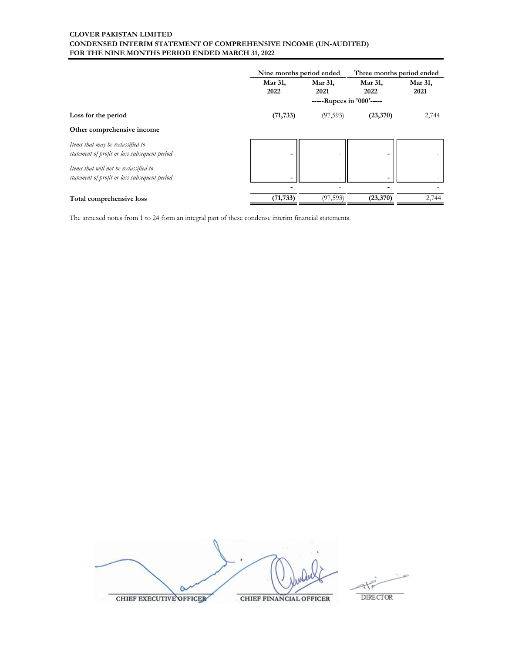# **CLOVER PAKISTAN LIMITED CONDENSED INTERIM STATEMENT OF COMPREHENSIVE INCOME (UN-AUDITED) FOR THE NINE MONTHS PERIOD ENDED MARCH 31, 2022**

|                                                                                         | Nine months period ended |                           |                 | Three months period ended |
|-----------------------------------------------------------------------------------------|--------------------------|---------------------------|-----------------|---------------------------|
|                                                                                         | Mar 31,<br>2022          | Mar 31,<br>2021           | Mar 31,<br>2022 | Mar 31,<br>2021           |
|                                                                                         |                          | -----Rupees in '000'----- |                 |                           |
| Loss for the period                                                                     | (71, 733)                | (97, 593)                 | (23,370)        | 2,744                     |
| Other comprehensive income                                                              |                          |                           |                 |                           |
| Items that may be reclassified to<br>statement of profit or loss subsequent period      | $\blacksquare$           | -                         |                 |                           |
| Items that will not be reclassified to<br>statement of profit or loss subsequent period | $\overline{\phantom{0}}$ |                           |                 |                           |
|                                                                                         |                          |                           |                 |                           |
| Total comprehensive loss                                                                | (71, 733)                | (97, 593)                 | (23,370)        | 2,744                     |

The annexed notes from 1 to 24 form an integral part of these condense interim financial statements.



**CHIEF FINANCIAL OFFICER** 

**DIRECTOR**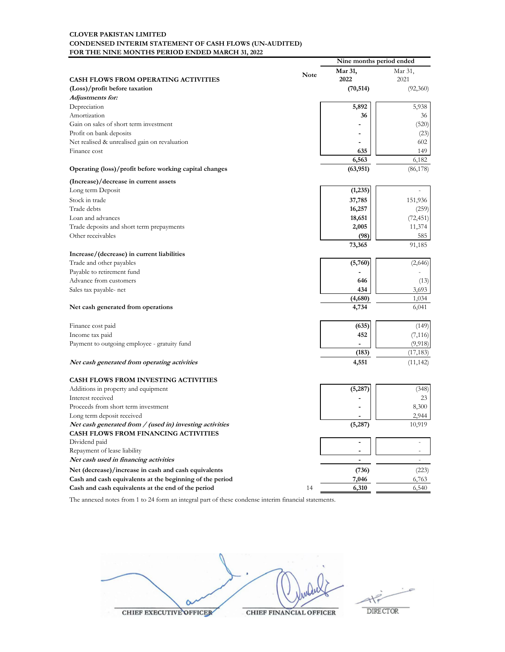### **CLOVER PAKISTAN LIMITED CONDENSED INTERIM STATEMENT OF CASH FLOWS (UN-AUDITED) FOR THE NINE MONTHS PERIOD ENDED MARCH 31, 2022**

|                                                          |             |                | Nine months period ended |  |
|----------------------------------------------------------|-------------|----------------|--------------------------|--|
|                                                          | <b>Note</b> | Mar 31,        | Mar 31,                  |  |
| <b>CASH FLOWS FROM OPERATING ACTIVITIES</b>              |             | 2022           | 2021                     |  |
| (Loss)/profit before taxation                            |             | (70, 514)      | (92,360)                 |  |
| Adjustments for:                                         |             |                |                          |  |
| Depreciation                                             |             | 5,892          | 5,938                    |  |
| Amortization                                             |             | 36             | 36                       |  |
| Gain on sales of short term investment                   |             |                | (520)                    |  |
| Profit on bank deposits                                  |             |                | (23)                     |  |
| Net realised & unrealised gain on revaluation            |             |                | 602                      |  |
| Finance cost                                             |             | 635            | 149                      |  |
|                                                          |             | 6,563          | 6,182                    |  |
| Operating (loss)/profit before working capital changes   |             | (63, 951)      | (86, 178)                |  |
| (Increase)/decrease in current assets                    |             |                |                          |  |
| Long term Deposit                                        |             | (1,235)        |                          |  |
| Stock in trade                                           |             | 37,785         | 151,936                  |  |
| Trade debts                                              |             | 16,257         | (259)                    |  |
| Loan and advances                                        |             | 18,651         | (72, 451)                |  |
| Trade deposits and short term prepayments                |             | 2,005          | 11,374                   |  |
| Other receivables                                        |             | (98)           | 585                      |  |
|                                                          |             | 73,365         | 91,185                   |  |
| Increase/(decrease) in current liabilities               |             |                |                          |  |
| Trade and other payables                                 |             | (5,760)        | (2,646)                  |  |
| Payable to retirement fund                               |             |                |                          |  |
| Advance from customers                                   |             | 646            | (13)                     |  |
| Sales tax payable- net                                   |             | 434            | 3,693                    |  |
|                                                          |             | (4,680)        | 1,034                    |  |
| Net cash generated from operations                       |             | 4,734          | 6,041                    |  |
| Finance cost paid                                        |             | (635)          | (149)                    |  |
| Income tax paid                                          |             | 452            | (7, 116)                 |  |
| Payment to outgoing employee - gratuity fund             |             |                | (9,918)                  |  |
|                                                          |             | (183)          | (17, 183)                |  |
| Net cash generated from operating activities             |             | 4,551          | (11, 142)                |  |
|                                                          |             |                |                          |  |
| <b>CASH FLOWS FROM INVESTING ACTIVITIES</b>              |             |                |                          |  |
| Additions in property and equipment                      |             | (5,287)        | (348)                    |  |
| Interest received                                        |             |                | 23                       |  |
| Proceeds from short term investment                      |             |                | 8,300                    |  |
| Long term deposit received                               |             |                | 2,944                    |  |
| Net cash generated from / (used in) investing activities |             | (5,287)        | 10,919                   |  |
| <b>CASH FLOWS FROM FINANCING ACTIVITIES</b>              |             |                |                          |  |
| Dividend paid                                            |             | ٠              |                          |  |
| Repayment of lease liability                             |             |                |                          |  |
| Net cash used in financing activities                    |             | $\blacksquare$ | $\overline{\phantom{a}}$ |  |
| Net (decrease)/increase in cash and cash equivalents     |             | (736)          | (223)                    |  |
| Cash and cash equivalents at the beginning of the period |             | 7,046          | 6,763                    |  |
| Cash and cash equivalents at the end of the period       | 14          | 6,310          | 6,540                    |  |

The annexed notes from 1 to 24 form an integral part of these condense interim financial statements.

 $\circ$ 

CHIEF EXECUTIVE OFFICER

**CHIEF FINANCIAL OFFICER** 

to **DIRECTOR**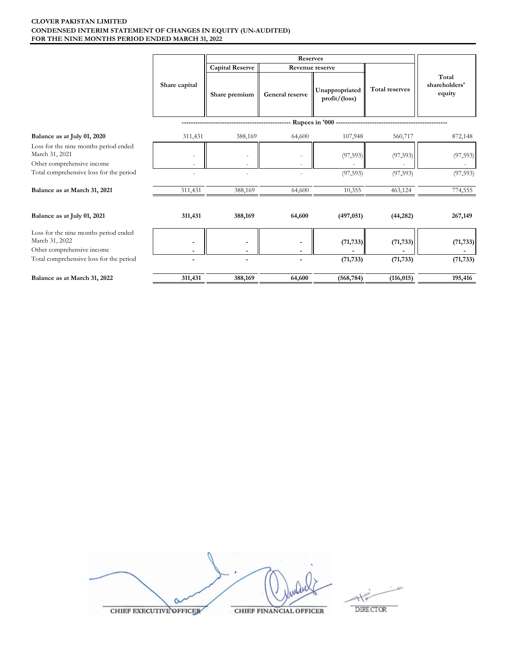### **CLOVER PAKISTAN LIMITED FOR THE NINE MONTHS PERIOD ENDED MARCH 31, 2022 CONDENSED INTERIM STATEMENT OF CHANGES IN EQUITY (UN-AUDITED)**

|                                                                                       |                          | Reserves               |                 |                                            |                       |                                  |
|---------------------------------------------------------------------------------------|--------------------------|------------------------|-----------------|--------------------------------------------|-----------------------|----------------------------------|
|                                                                                       |                          | <b>Capital Reserve</b> | Revenue reserve |                                            |                       |                                  |
|                                                                                       | Share capital            | Share premium          | General reserve | Unappropriated<br>$profit/$ (loss)         | <b>Total reserves</b> | Total<br>shareholders'<br>equity |
|                                                                                       |                          |                        |                 | Rupees in '000 --------------------------- |                       |                                  |
| Balance as at July 01, 2020                                                           | 311,431                  | 388,169                | 64,600          | 107,948                                    | 560,717               | 872,148                          |
| Loss for the nine months period ended<br>March 31, 2021<br>Other comprehensive income |                          |                        |                 | (97, 593)                                  | (97, 593)             | (97, 593)                        |
| Total comprehensive loss for the period                                               |                          |                        |                 | (97, 593)                                  | (97, 593)             | (97, 593)                        |
| Balance as at March 31, 2021                                                          | 311,431                  | 388,169                | 64,600          | 10,355                                     | 463,124               | 774,555                          |
| Balance as at July 01, 2021                                                           | 311,431                  | 388,169                | 64,600          | (497, 051)                                 | (44, 282)             | 267,149                          |
| Loss for the nine months period ended<br>March 31, 2022<br>Other comprehensive income |                          |                        |                 | (71, 733)                                  | (71, 733)             | (71, 733)                        |
| Total comprehensive loss for the period                                               | $\overline{\phantom{a}}$ | $\blacksquare$         |                 | (71, 733)                                  | (71, 733)             | (71, 733)                        |
|                                                                                       |                          |                        |                 |                                            |                       |                                  |
| Balance as at March 31, 2022                                                          | 311,431                  | 388,169                | 64,600          | (568, 784)                                 | (116, 015)            | 195,416                          |

| <b>CHIEF EXECUTIVE OFFICER</b> | <b>CHIEF FINANCIAL OFFICER</b> |
|--------------------------------|--------------------------------|

 $\overline{\phantom{a}}$  $\begin{picture}(120,115) \put(0,0){\line(1,0){15}} \put(15,0){\line(1,0){15}} \put(15,0){\line(1,0){15}} \put(15,0){\line(1,0){15}} \put(15,0){\line(1,0){15}} \put(15,0){\line(1,0){15}} \put(15,0){\line(1,0){15}} \put(15,0){\line(1,0){15}} \put(15,0){\line(1,0){15}} \put(15,0){\line(1,0){15}} \put(15,0){\line(1,0){15}} \put(15,0){\line$ 

**CUTIVE OFFICER** 

 $\begin{tabular}{c} DIRECTOR \\ \end{tabular}$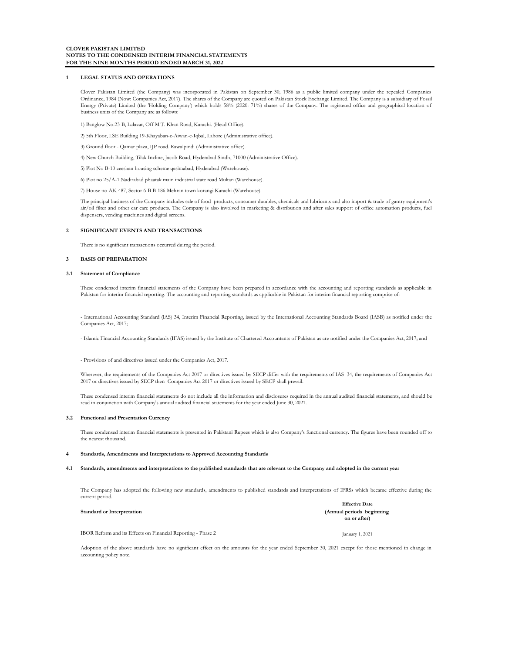#### **1 LEGAL STATUS AND OPERATIONS**

Clover Pakistan Limited (the Company) was incorporated in Pakistan on September 30, 1986 as a public limited company under the repealed Companies Ordinance, 1984 (Now: Companies Act, 2017). The shares of the Company are quoted on Pakistan Stock Exchange Limited. The Company is a subsidiary of Fossil Energy (Private) Limited (the 'Holding Company') which holds 58% (2020: 71%) shares of the Company. The registered office and geographical location of business units of the Company are as follows:

1) Banglow No.23-B, Lalazar, Off M.T. Khan Road, Karachi. (Head Office).

2) 5th Floor, LSE Building 19-Khayaban-e-Aiwan-e-Iqbal, Lahore (Administrative office).

3) Ground floor - Qamar plaza, IJP road. Rawalpindi (Administrative office).

4) New Church Building, Tilak Incline, Jacob Road, Hyderabad Sindh, 71000 (Administrative Office).

5) Plot No B-10 zeeshan housing scheme qasimabad, Hyderabad (Warehouse).

6) Plot no 25/A-1 Nadirabad phaatak main industrial state road Multan (Warehouse).

7) House no AK-487, Sector 6-B B-186 Mehran town korangi Karachi (Warehouse).

The principal business of the Company includes sale of food products, consumer durables, chemicals and lubricants and also import & trade of gantry equipment's air/oil filter and other car care products. The Company is also involved in marketing & distribution and after sales support of office automation products, fuel dispensers, vending machines and digital screens.

#### **2 SIGNIFICANT EVENTS AND TRANSACTIONS**

There is no significant transactions occurred duirng the period.

#### **3 BASIS OF PREPARATION**

#### **3.1 Statement of Compliance**

These condensed interim financial statements of the Company have been prepared in accordance with the accounting and reporting standards as applicable in Pakistan for interim financial reporting. The accounting and reporting standards as applicable in Pakistan for interim financial reporting comprise of:

- International Accounting Standard (lAS) 34, Interim Financial Reporting, issued by the International Accounting Standards Board (IASB) as notified under the Companies Act, 2017;

- Islamic Financial Accounting Standards (IFAS) issued by the Institute of Chartered Accountants of Pakistan as are notified under the Companies Act, 2017; and

- Provisions of and directives issued under the Companies Act, 2017.

Wherever, the requirements of the Companies Act 2017 or directives issued by SECP differ with the requirements of IAS 34, the requirements of Companies Act 2017 or directives issued by SECP then Companies Act 2017 or directives issued by SECP shall prevail.

These condensed interim financial statements do not include all the information and disclosures required in the annual audited financial statements, and should be read in conjunction with Company's annual audited financial statements for the year ended June 30, 2021.

#### **3.2 Functional and Presentation Currency**

These condensed interim financial statements is presented in Pakistani Rupees which is also Company's functional currency. The figures have been rounded off to the nearest thousand.

#### **4 Standards, Amendments and Interpretations to Approved Accounting Standards**

#### **4.1 Standards, amendments and interpretations to the published standards that are relevant to the Company and adopted in the current year**

The Company has adopted the following new standards, amendments to published standards and interpretations of IFRSs which became effective during the current period.

**Standard or Interpretation (Annual periods beginning on or after) Effective Date**

IBOR Reform and its Effects on Financial Reporting - Phase 2 January 1, 2021

Adoption of the above standards have no significant effect on the amounts for the year ended September 30, 2021 except for those mentioned in change in accounting policy note.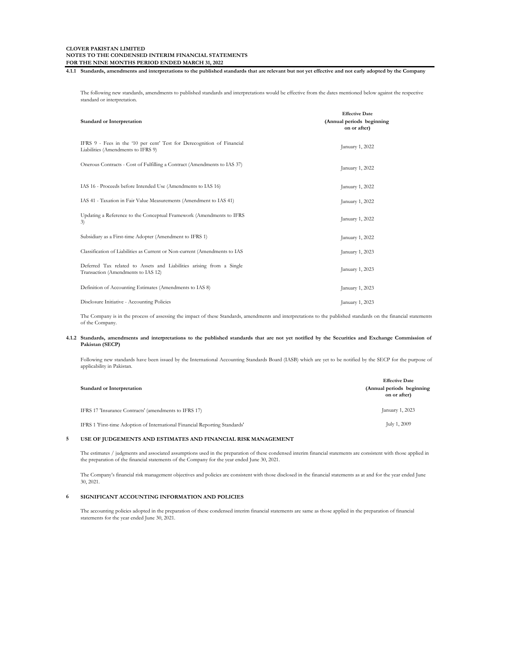**4.1.1 Standards, amendments and interpretations to the published standards that are relevant but not yet effective and not early adopted by the Company**

The following new standards, amendments to published standards and interpretations would be effective from the dates mentioned below against the respective standard or interpretation.

| <b>Standard or Interpretation</b>                                                                            | <b>Effective Date</b><br>(Annual periods beginning<br>on or after) |
|--------------------------------------------------------------------------------------------------------------|--------------------------------------------------------------------|
| IFRS 9 - Fees in the '10 per cent' Test for Derecognition of Financial<br>Liabilities (Amendments to IFRS 9) | January 1, 2022                                                    |
| Onerous Contracts - Cost of Fulfilling a Contract (Amendments to IAS 37)                                     | January 1, 2022                                                    |
| IAS 16 - Proceeds before Intended Use (Amendments to IAS 16)                                                 | January 1, 2022                                                    |
| IAS 41 - Taxation in Fair Value Measurements (Amendment to IAS 41)                                           | January 1, 2022                                                    |
| Updating a Reference to the Conceptual Framework (Amendments to IFRS<br>3)                                   | January 1, 2022                                                    |
| Subsidiary as a First-time Adopter (Amendment to IFRS 1)                                                     | January 1, 2022                                                    |
| Classification of Liabilities as Current or Non-current (Amendments to IAS                                   | January 1, 2023                                                    |
| Deferred Tax related to Assets and Liabilities arising from a Single<br>Transaction (Amendments to IAS 12)   | January 1, 2023                                                    |
| Definition of Accounting Estimates (Amendments to IAS 8)                                                     | January 1, 2023                                                    |
| Disclosure Initiative - Accounting Policies                                                                  | January 1, 2023                                                    |

The Company is in the process of assessing the impact of these Standards, amendments and interpretations to the published standards on the financial statements of the Company.

#### 4.1.2 Standards, amendments and interpretations to the published standards that are not yet notified by the Securities and Exchange Commission of **Pakistan (SECP)**

Following new standards have been issued by the International Accounting Standards Board (IASB) which are yet to be notified by the SECP for the purpose of applicability in Pakistan.

| <b>Standard or Interpretation</b>                                           | <b>Effective Date</b><br>(Annual periods beginning)<br>on or after) |
|-----------------------------------------------------------------------------|---------------------------------------------------------------------|
| IFRS 17 'Insurance Contracts' (amendments to IFRS 17)                       | January 1, 2023                                                     |
| IFRS 1 'First-time Adoption of International Financial Reporting Standards' | July 1, 2009                                                        |

### **5 USE OF JUDGEMENTS AND ESTIMATES AND FINANCIAL RISK MANAGEMENT**

The estimates / judgments and associated assumptions used in the preparation of these condensed interim financial statements are consistent with those applied in the preparation of the financial statements of the Company for the year ended June 30, 2021.

The Company's financial risk management objectives and policies are consistent with those disclosed in the financial statements as at and for the year ended June 30, 2021.

### **6 SIGNIFICANT ACCOUNTING INFORMATION AND POLICIES**

The accounting policies adopted in the preparation of these condensed interim financial statements are same as those applied in the preparation of financial statements for the year ended June 30, 2021.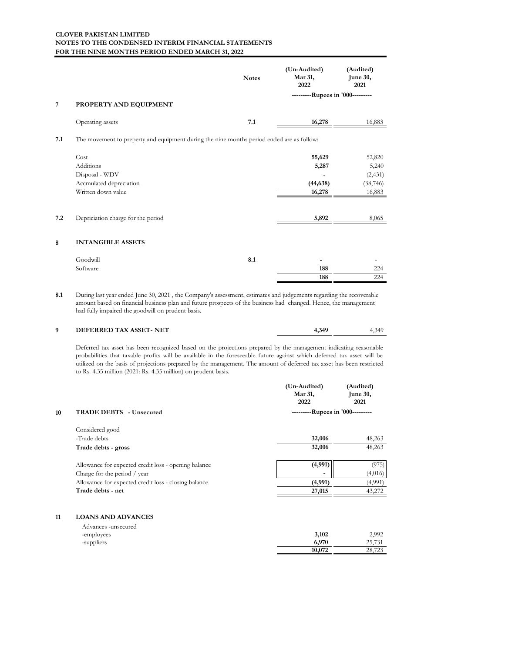|     |                                                                                           | <b>Notes</b> | (Un-Audited)<br>Mar 31,<br>2022  | (Audited)<br>June 30,<br>2021 |
|-----|-------------------------------------------------------------------------------------------|--------------|----------------------------------|-------------------------------|
|     |                                                                                           |              | ---------Rupees in '000--------- |                               |
| 7   | PROPERTY AND EQUIPMENT                                                                    |              |                                  |                               |
|     | Operating assets                                                                          | 7.1          | 16,278                           | 16,883                        |
| 7.1 | The movement to preperty and equipment during the nine months period ended are as follow: |              |                                  |                               |
|     | Cost                                                                                      |              | 55,629                           | 52,820                        |
|     | Additions                                                                                 |              | 5,287                            | 5,240                         |
|     | Disposal - WDV                                                                            |              |                                  | (2, 431)                      |
|     | Accmulated depreciation                                                                   |              | (44, 638)                        | (38, 746)                     |
|     | Written down value                                                                        |              | 16,278                           | 16,883                        |
| 7.2 | Depriciation charge for the period                                                        |              | 5,892                            | 8,065                         |
| 8   | <b>INTANGIBLE ASSETS</b>                                                                  |              |                                  |                               |
|     | Goodwill                                                                                  | 8.1          |                                  |                               |
|     | Software                                                                                  |              | 188                              | 224                           |
|     |                                                                                           |              | 188                              | 224                           |

**8.1** During last year ended June 30, 2021 , the Company's assessment, estimates and judgements regarding the recoverable amount based on financial business plan and future prospects of the business had changed. Hence, the management had fully impaired the goodwill on prudent basis.

### **9 DEFERRED TAX ASSET- NET 4,349** 4,349

**10,072** 28,7

Deferred tax asset has been recognized based on the projections prepared by the management indicating reasonable probabilities that taxable profits will be available in the foreseeable future against which deferred tax asset will be utilized on the basis of projections prepared by the management. The amount of deferred tax asset has been restricted to Rs. 4.35 million (2021: Rs. 4.35 million) on prudent basis.

|    |                                                      | (Un-Audited)<br>Mar 31,<br>2022  | (Audited)<br>June 30,<br>2021 |
|----|------------------------------------------------------|----------------------------------|-------------------------------|
| 10 | <b>TRADE DEBTS</b> - Unsecured                       | ---------Rupees in '000--------- |                               |
|    | Considered good                                      |                                  |                               |
|    | -Trade debts                                         | 32,006                           | 48,263                        |
|    | Trade debts - gross                                  | 32,006                           | 48,263                        |
|    | Allowance for expected credit loss - opening balance | (4,991)                          | (975)                         |
|    | Charge for the period / year                         |                                  | (4,016)                       |
|    | Allowance for expected credit loss - closing balance | (4,991)                          | (4,991)                       |
|    | Trade debts - net                                    | 27,015                           | 43,272                        |
| 11 | <b>LOANS AND ADVANCES</b>                            |                                  |                               |
|    | Advances -unsecured<br>-employees                    | 3,102                            | 2,992                         |

-suppliers **6,970** 25,731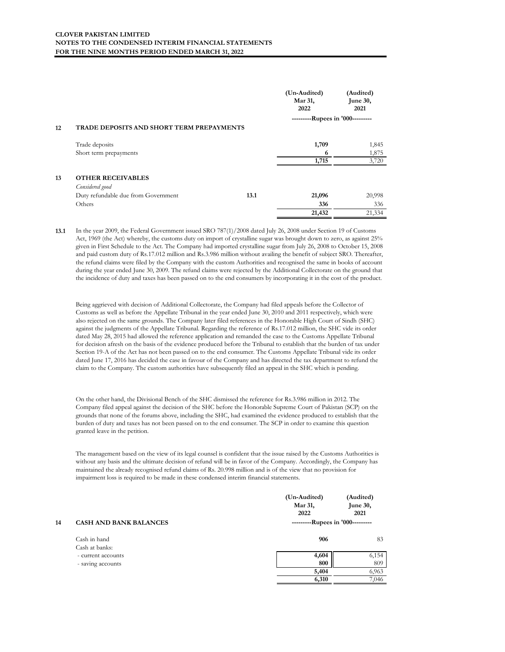|    |                                           |      | (Un-Audited)<br>Mar 31,<br>2022  | (Audited)<br><b>June 30,</b><br>2021 |
|----|-------------------------------------------|------|----------------------------------|--------------------------------------|
| 12 | TRADE DEPOSITS AND SHORT TERM PREPAYMENTS |      | ---------Rupees in '000--------- |                                      |
|    |                                           |      |                                  |                                      |
|    | Trade deposits                            |      | 1,709                            | 1,845                                |
|    | Short term prepayments                    |      | 6                                | 1,875                                |
|    |                                           |      | 1,715                            | 3,720                                |
| 13 | <b>OTHER RECEIVABLES</b>                  |      |                                  |                                      |
|    | Considered good                           |      |                                  |                                      |
|    | Duty refundable due from Government       | 13.1 | 21,096                           | 20,998                               |
|    | Others                                    |      | 336                              | 336                                  |
|    |                                           |      | 21,432                           | 21,334                               |

**13.1** In the year 2009, the Federal Government issued SRO 787(1)/2008 dated July 26, 2008 under Section 19 of Customs Act, 1969 (the Act) whereby, the customs duty on import of crystalline sugar was brought down to zero, as against 25% given in First Schedule to the Act. The Company had imported crystalline sugar from July 26, 2008 to October 15, 2008 and paid custom duty of Rs.17.012 million and Rs.3.986 million without availing the benefit of subject SRO. Thereafter, the refund claims were filed by the Company with the custom Authorities and recognised the same in books of account during the year ended June 30, 2009. The refund claims were rejected by the Additional Collectorate on the ground that the incidence of duty and taxes has been passed on to the end consumers by incorporating it in the cost of the product.

Being aggrieved with decision of Additional Collectorate, the Company had filed appeals before the Collector of Customs as well as before the Appellate Tribunal in the year ended June 30, 2010 and 2011 respectively, which were also rejected on the same grounds. The Company later filed references in the Honorable High Court of Sindh (SHC) against the judgments of the Appellate Tribunal. Regarding the reference of Rs.17.012 million, the SHC vide its order dated May 28, 2015 had allowed the reference application and remanded the case to the Customs Appellate Tribunal for decision afresh on the basis of the evidence produced before the Tribunal to establish that the burden of tax under Section 19-A of the Act has not been passed on to the end consumer. The Customs Appellate Tribunal vide its order dated June 17, 2016 has decided the case in favour of the Company and has directed the tax department to refund the claim to the Company. The custom authorities have subsequently filed an appeal in the SHC which is pending.

On the other hand, the Divisional Bench of the SHC dismissed the reference for Rs.3.986 million in 2012. The Company filed appeal against the decision of the SHC before the Honorable Supreme Court of Pakistan (SCP) on the grounds that none of the forums above, including the SHC, had examined the evidence produced to establish that the burden of duty and taxes has not been passed on to the end consumer. The SCP in order to examine this question granted leave in the petition.

The management based on the view of its legal counsel is confident that the issue raised by the Customs Authorities is without any basis and the ultimate decision of refund will be in favor of the Company. Accordingly, the Company has maintained the already recognised refund claims of Rs. 20.998 million and is of the view that no provision for impairment loss is required to be made in these condensed interim financial statements.

|    |                                         | (Un-Audited)<br>Mar 31,<br>2022  | (Audited)<br><b>June 30,</b><br>2021 |
|----|-----------------------------------------|----------------------------------|--------------------------------------|
| 14 | <b>CASH AND BANK BALANCES</b>           | ---------Rupees in '000--------- |                                      |
|    | Cash in hand<br>Cash at banks:          | 906                              | 83                                   |
|    | - current accounts<br>- saving accounts | 4,604<br>800                     | 6,154<br>809                         |
|    |                                         | 5,404<br>6,310                   | 6,963<br>7,046                       |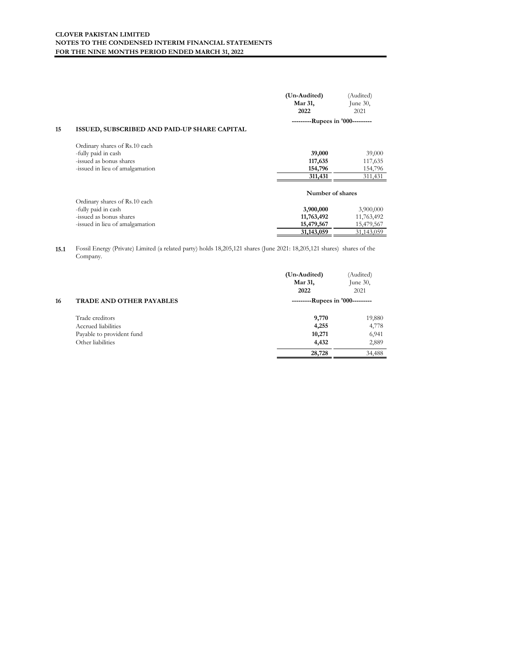|    |                                              | (Un-Audited)                     | (Audited)   |
|----|----------------------------------------------|----------------------------------|-------------|
|    |                                              | Mar 31,                          | June $30$ , |
|    |                                              | 2022                             | 2021        |
|    |                                              | ---------Rupees in '000--------- |             |
| 15 | ISSUED, SUBSCRIBED AND PAID-UP SHARE CAPITAL |                                  |             |
|    | Ordinary shares of Rs.10 each                |                                  |             |
|    | -fully paid in cash                          | 39,000                           | 39,000      |
|    | -issued as bonus shares                      | 117,635                          | 117,635     |
|    | -issued in lieu of amalgamation              | 154,796                          | 154,796     |
|    |                                              | 311,431                          | 311,431     |
|    |                                              | Number of shares                 |             |
|    | Ordinary shares of Rs.10 each                |                                  |             |
|    | -fully paid in cash                          | 3,900,000                        | 3,900,000   |
|    | -issued as bonus shares                      | 11,763,492                       | 11,763,492  |
|    | -issued in lieu of amalgamation              | 15,479,567                       | 15,479,567  |
|    |                                              | 31,143,059                       | 31,143,059  |
|    |                                              |                                  |             |

**15.1** Fossil Energy (Private) Limited (a related party) holds 18,205,121 shares (June 2021: 18,205,121 shares) shares of the Company.

|    |                                 | (Un-Audited)<br>Mar 31,<br>2022  | (Audited)<br>June $30$ ,<br>2021 |  |
|----|---------------------------------|----------------------------------|----------------------------------|--|
| 16 | <b>TRADE AND OTHER PAYABLES</b> | ---------Rupees in '000--------- |                                  |  |
|    | Trade creditors                 | 9,770                            | 19,880                           |  |
|    | Accrued liabilities             | 4,255                            | 4,778                            |  |
|    | Payable to provident fund       | 10,271                           | 6,941                            |  |
|    | Other liabilities               | 4,432                            | 2,889                            |  |
|    |                                 | 28,728                           | 34,488                           |  |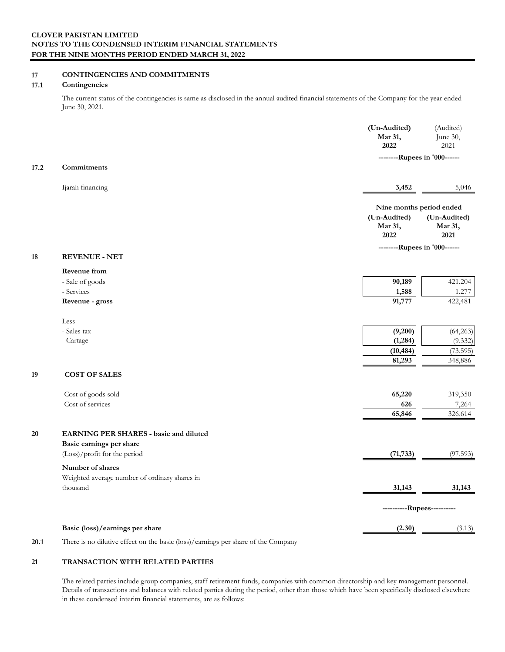# **17 CONTINGENCIES AND COMMITMENTS**

### **17.1 Contingencies**

The current status of the contingencies is same as disclosed in the annual audited financial statements of the Company for the year ended June 30, 2021.

|      |                                                                           | (Un-Audited)<br>Mar 31,<br>2022 | (Audited)<br>June 30,<br>2021   |  |
|------|---------------------------------------------------------------------------|---------------------------------|---------------------------------|--|
| 17.2 | Commitments                                                               |                                 | --------Rupees in '000------    |  |
|      | Ijarah financing                                                          | 3,452                           | 5,046                           |  |
|      |                                                                           |                                 | Nine months period ended        |  |
|      |                                                                           | (Un-Audited)<br>Mar 31,<br>2022 | (Un-Audited)<br>Mar 31,<br>2021 |  |
| 18   | <b>REVENUE - NET</b>                                                      | --------Rupees in '000------    |                                 |  |
|      | Revenue from                                                              |                                 |                                 |  |
|      | - Sale of goods                                                           | 90,189                          | 421,204                         |  |
|      | - Services<br>Revenue - gross                                             | 1,588<br>91,777                 | 1,277<br>422,481                |  |
|      | Less                                                                      |                                 |                                 |  |
|      | - Sales tax                                                               | (9,200)                         | (64,263)                        |  |
|      | - Cartage                                                                 | (1, 284)<br>(10, 484)           | (9, 332)<br>(73, 595)           |  |
|      |                                                                           | 81,293                          | 348,886                         |  |
| 19   | <b>COST OF SALES</b>                                                      |                                 |                                 |  |
|      | Cost of goods sold                                                        | 65,220                          | 319,350                         |  |
|      | Cost of services                                                          | 626                             | 7,264                           |  |
|      |                                                                           | 65,846                          | 326,614                         |  |
| 20   | <b>EARNING PER SHARES - basic and diluted</b><br>Basic earnings per share |                                 |                                 |  |
|      | (Loss)/profit for the period                                              | (71, 733)                       | (97, 593)                       |  |
|      | Number of shares                                                          |                                 |                                 |  |
|      | Weighted average number of ordinary shares in<br>thousand                 | 31,143                          | 31,143                          |  |
|      |                                                                           |                                 | ----------Rupees----------      |  |
|      | Basic (loss)/earnings per share                                           | (2.30)                          | (3.13)                          |  |
|      | <b>FILTER</b><br>$\sim$ $\sim$                                            |                                 |                                 |  |

**20.1** There is no dilutive effect on the basic (loss)/earnings per share of the Company

# **21 TRANSACTION WITH RELATED PARTIES**

The related parties include group companies, staff retirement funds, companies with common directorship and key management personnel. Details of transactions and balances with related parties during the period, other than those which have been specifically disclosed elsewhere in these condensed interim financial statements, are as follows: